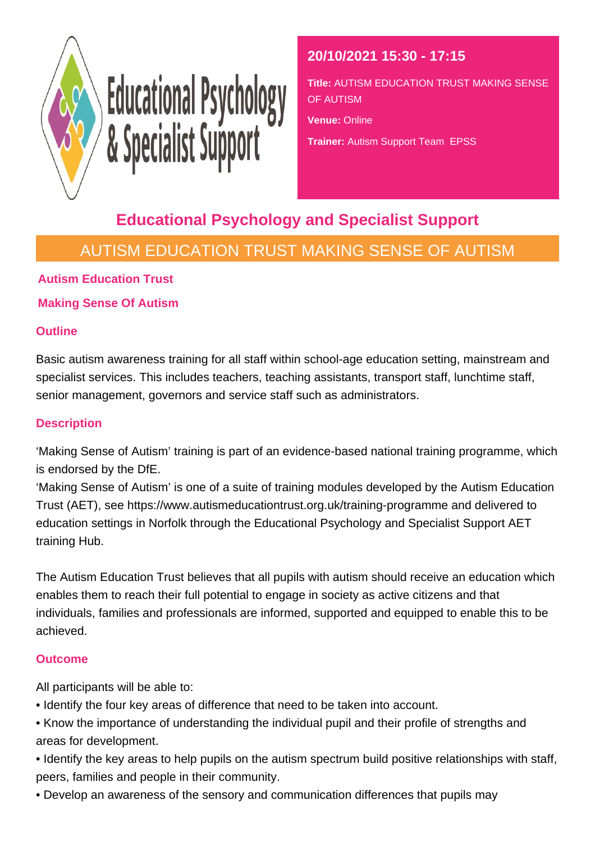

# Educational Psychology<br>& Specialist Support

## **20/10/2021 15:30 - 17:15**

**Title:** AUTISM EDUCATION TRUST MAKING SENSE OF AUTISM

**Venue:** Online

**Trainer:** Autism Support Team EPSS

# **Educational Psychology and Specialist Support**

# AUTISM EDUCATION TRUST MAKING SENSE OF AUTISM

## **Autism Education Trust**

## **Making Sense Of Autism**

## **Outline**

Basic autism awareness training for all staff within school-age education setting, mainstream and specialist services. This includes teachers, teaching assistants, transport staff, lunchtime staff, senior management, governors and service staff such as administrators.

## **Description**

'Making Sense of Autism' training is part of an evidence-based national training programme, which is endorsed by the DfE.

'Making Sense of Autism' is one of a suite of training modules developed by the Autism Education Trust (AET), see https://www.autismeducationtrust.org.uk/training-programme and delivered to education settings in Norfolk through the Educational Psychology and Specialist Support AET training Hub.

The Autism Education Trust believes that all pupils with autism should receive an education which enables them to reach their full potential to engage in society as active citizens and that individuals, families and professionals are informed, supported and equipped to enable this to be achieved.

### **Outcome**

All participants will be able to:

- Identify the four key areas of difference that need to be taken into account.
- Know the importance of understanding the individual pupil and their profile of strengths and areas for development.
- Identify the key areas to help pupils on the autism spectrum build positive relationships with staff, peers, families and people in their community.
- Develop an awareness of the sensory and communication differences that pupils may